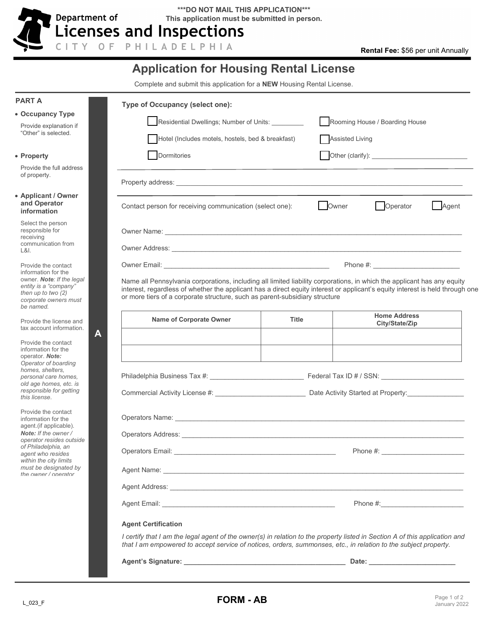

**\*\*\*DO NOT MAIL THIS APPLICATION\*\*\***

OF PHILADELPHIA

**Rental Fee:** \$56 per unit Annually

## **Application for Housing Rental License**

Complete and submit this application for a **NEW** Housing Rental License.

| • Occupancy Type                                                                                                                                                                                        |                                                                                                                                                                                                                                                | Type of Occupancy (select one):                                                                                                                                                                                                                                                                                                         |              |              |                                       |       |  |  |
|---------------------------------------------------------------------------------------------------------------------------------------------------------------------------------------------------------|------------------------------------------------------------------------------------------------------------------------------------------------------------------------------------------------------------------------------------------------|-----------------------------------------------------------------------------------------------------------------------------------------------------------------------------------------------------------------------------------------------------------------------------------------------------------------------------------------|--------------|--------------|---------------------------------------|-------|--|--|
|                                                                                                                                                                                                         |                                                                                                                                                                                                                                                |                                                                                                                                                                                                                                                                                                                                         |              |              | Rooming House / Boarding House        |       |  |  |
| Provide explanation if<br>"Other" is selected.                                                                                                                                                          |                                                                                                                                                                                                                                                | Residential Dwellings; Number of Units:<br>Hotel (Includes motels, hostels, bed & breakfast)<br>Dormitories                                                                                                                                                                                                                             |              |              | <b>Assisted Living</b>                |       |  |  |
| • Property                                                                                                                                                                                              |                                                                                                                                                                                                                                                |                                                                                                                                                                                                                                                                                                                                         |              |              |                                       |       |  |  |
| Provide the full address<br>of property.                                                                                                                                                                |                                                                                                                                                                                                                                                |                                                                                                                                                                                                                                                                                                                                         |              |              |                                       |       |  |  |
|                                                                                                                                                                                                         |                                                                                                                                                                                                                                                |                                                                                                                                                                                                                                                                                                                                         |              |              |                                       |       |  |  |
| • Applicant / Owner<br>and Operator<br>information                                                                                                                                                      |                                                                                                                                                                                                                                                | Contact person for receiving communication (select one):                                                                                                                                                                                                                                                                                |              | <b>Owner</b> | Operator                              | Agent |  |  |
| Select the person<br>responsible for<br>receiving<br>communication from<br>L&L                                                                                                                          |                                                                                                                                                                                                                                                |                                                                                                                                                                                                                                                                                                                                         |              |              |                                       |       |  |  |
|                                                                                                                                                                                                         |                                                                                                                                                                                                                                                |                                                                                                                                                                                                                                                                                                                                         |              |              |                                       |       |  |  |
| Provide the contact                                                                                                                                                                                     |                                                                                                                                                                                                                                                |                                                                                                                                                                                                                                                                                                                                         |              |              |                                       |       |  |  |
| information for the<br>owner. Note: If the legal<br>entity is a "company"<br>then up to two $(2)$<br>corporate owners must<br>be named.                                                                 |                                                                                                                                                                                                                                                | Name all Pennsylvania corporations, including all limited liability corporations, in which the applicant has any equity<br>interest, regardless of whether the applicant has a direct equity interest or applicant's equity interest is held through one<br>or more tiers of a corporate structure, such as parent-subsidiary structure |              |              |                                       |       |  |  |
| Provide the license and<br>tax account information.                                                                                                                                                     | A                                                                                                                                                                                                                                              | <b>Name of Corporate Owner</b>                                                                                                                                                                                                                                                                                                          | <b>Title</b> |              | <b>Home Address</b><br>City/State/Zip |       |  |  |
| Provide the contact<br>information for the<br>operator. Note:<br>Operator of boarding<br>homes, shelters,<br>personal care homes,<br>old age homes, etc. is<br>responsible for getting<br>this license. |                                                                                                                                                                                                                                                |                                                                                                                                                                                                                                                                                                                                         |              |              |                                       |       |  |  |
|                                                                                                                                                                                                         |                                                                                                                                                                                                                                                |                                                                                                                                                                                                                                                                                                                                         |              |              |                                       |       |  |  |
|                                                                                                                                                                                                         |                                                                                                                                                                                                                                                |                                                                                                                                                                                                                                                                                                                                         |              |              |                                       |       |  |  |
| Provide the contact<br>information for the<br>agent.(if applicable).<br>Note: If the owner/<br>operator resides outside<br>of Philadelphia, an<br>agent who resides                                     |                                                                                                                                                                                                                                                |                                                                                                                                                                                                                                                                                                                                         |              |              |                                       |       |  |  |
|                                                                                                                                                                                                         |                                                                                                                                                                                                                                                |                                                                                                                                                                                                                                                                                                                                         |              |              |                                       |       |  |  |
|                                                                                                                                                                                                         |                                                                                                                                                                                                                                                | Phone #: ________________                                                                                                                                                                                                                                                                                                               |              |              |                                       |       |  |  |
| within the city limits<br>must be designated by<br>the owner / onerator                                                                                                                                 |                                                                                                                                                                                                                                                |                                                                                                                                                                                                                                                                                                                                         |              |              |                                       |       |  |  |
|                                                                                                                                                                                                         |                                                                                                                                                                                                                                                |                                                                                                                                                                                                                                                                                                                                         |              |              |                                       |       |  |  |
|                                                                                                                                                                                                         |                                                                                                                                                                                                                                                |                                                                                                                                                                                                                                                                                                                                         |              |              |                                       |       |  |  |
|                                                                                                                                                                                                         | <b>Agent Certification</b>                                                                                                                                                                                                                     |                                                                                                                                                                                                                                                                                                                                         |              |              |                                       |       |  |  |
|                                                                                                                                                                                                         | I certify that I am the legal agent of the owner(s) in relation to the property listed in Section A of this application and<br>that I am empowered to accept service of notices, orders, summonses, etc., in relation to the subject property. |                                                                                                                                                                                                                                                                                                                                         |              |              |                                       |       |  |  |
|                                                                                                                                                                                                         |                                                                                                                                                                                                                                                |                                                                                                                                                                                                                                                                                                                                         |              |              |                                       |       |  |  |